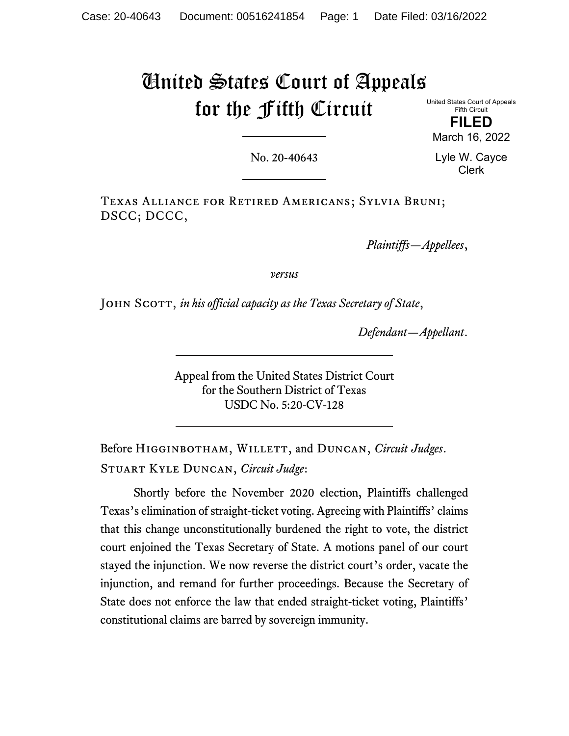# United States Court of Appeals for the Fifth Circuit

United States Court of Appeals Fifth Circuit

**FILED** March 16, 2022

No. 20-40643

Lyle W. Cayce Clerk

Texas Alliance for Retired Americans; Sylvia Bruni; DSCC; DCCC,

*Plaintiffs—Appellees*,

*versus*

John Scott, *in his official capacity as the Texas Secretary of State*,

*Defendant—Appellant*.

Appeal from the United States District Court for the Southern District of Texas USDC No. 5:20-CV-128

Before Higginbotham, Willett, and Duncan, *Circuit Judges*. Stuart Kyle Duncan, *Circuit Judge*:

Shortly before the November 2020 election, Plaintiffs challenged Texas's elimination of straight-ticket voting. Agreeing with Plaintiffs' claims that this change unconstitutionally burdened the right to vote, the district court enjoined the Texas Secretary of State. A motions panel of our court stayed the injunction. We now reverse the district court's order, vacate the injunction, and remand for further proceedings. Because the Secretary of State does not enforce the law that ended straight-ticket voting, Plaintiffs' constitutional claims are barred by sovereign immunity.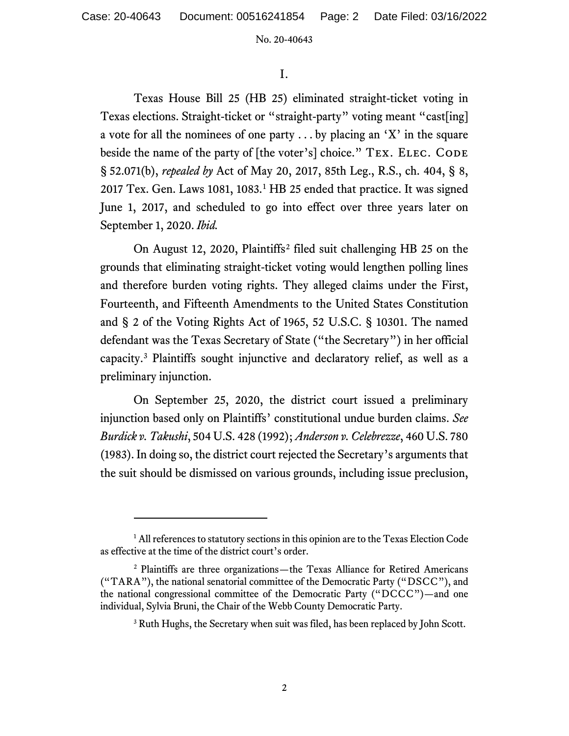I.

Texas House Bill 25 (HB 25) eliminated straight-ticket voting in Texas elections. Straight-ticket or "straight-party" voting meant "cast[ing] a vote for all the nominees of one party  $\dots$  by placing an 'X' in the square beside the name of the party of [the voter's] choice." TEX. ELEC. CODE § 52.071(b), *repealed by* Act of May 20, 2017, 85th Leg., R.S., ch. 404, § 8, 20[1](#page-1-0)7 Tex. Gen. Laws 1081,  $1083<sup>1</sup>$  HB 25 ended that practice. It was signed June 1, 2017, and scheduled to go into effect over three years later on September 1, 2020. *Ibid.*

On August 12, 2020, Plaintiffs[2](#page-1-1) filed suit challenging HB 25 on the grounds that eliminating straight-ticket voting would lengthen polling lines and therefore burden voting rights. They alleged claims under the First, Fourteenth, and Fifteenth Amendments to the United States Constitution and § 2 of the Voting Rights Act of 1965, 52 U.S.C. § 10301. The named defendant was the Texas Secretary of State ("the Secretary") in her official capacity.[3](#page-1-2) Plaintiffs sought injunctive and declaratory relief, as well as a preliminary injunction.

On September 25, 2020, the district court issued a preliminary injunction based only on Plaintiffs' constitutional undue burden claims. *See Burdick v. Takushi*, 504 U.S. 428 (1992); *Anderson v. Celebrezze*, 460 U.S. 780 (1983). In doing so, the district court rejected the Secretary's arguments that the suit should be dismissed on various grounds, including issue preclusion,

<span id="page-1-0"></span><sup>&</sup>lt;sup>1</sup> All references to statutory sections in this opinion are to the Texas Election Code as effective at the time of the district court's order.

<span id="page-1-2"></span><span id="page-1-1"></span><sup>2</sup> Plaintiffs are three organizations—the Texas Alliance for Retired Americans ("TARA"), the national senatorial committee of the Democratic Party ("DSCC"), and the national congressional committee of the Democratic Party ("DCCC")—and one individual, Sylvia Bruni, the Chair of the Webb County Democratic Party.

<sup>&</sup>lt;sup>3</sup> Ruth Hughs, the Secretary when suit was filed, has been replaced by John Scott.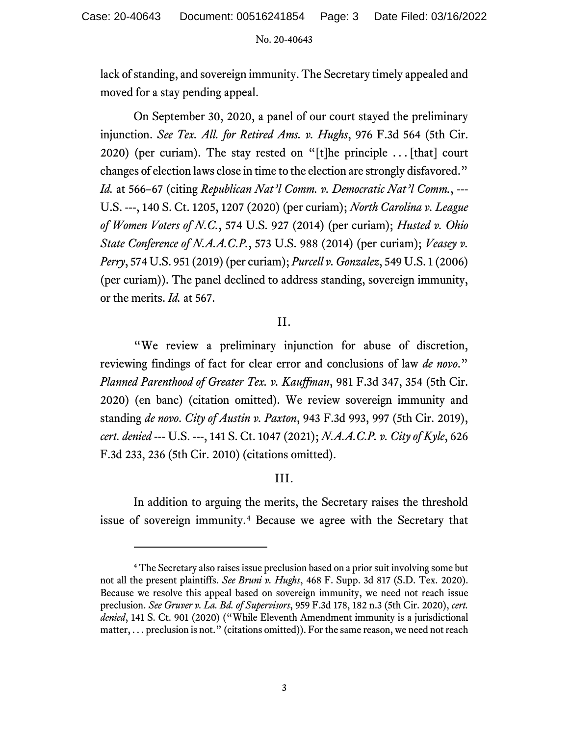lack of standing, and sovereign immunity. The Secretary timely appealed and moved for a stay pending appeal.

On September 30, 2020, a panel of our court stayed the preliminary injunction. *See Tex. All. for Retired Ams. v. Hughs*, 976 F.3d 564 (5th Cir. 2020) (per curiam). The stay rested on "[t]he principle  $\ldots$  [that] court changes of election laws close in time to the election are strongly disfavored." *Id.* at 566–67 (citing *Republican Nat'l Comm. v. Democratic Nat'l Comm.*, --- U.S. ---, 140 S. Ct. 1205, 1207 (2020) (per curiam); *North Carolina v. League of Women Voters of N.C.*, 574 U.S. 927 (2014) (per curiam); *Husted v. Ohio State Conference of N.A.A.C.P.*, 573 U.S. 988 (2014) (per curiam); *Veasey v. Perry*, 574 U.S. 951 (2019) (per curiam); *Purcell v. Gonzalez*, 549 U.S. 1 (2006) (per curiam)). The panel declined to address standing, sovereign immunity, or the merits. *Id.* at 567.

# II.

"We review a preliminary injunction for abuse of discretion, reviewing findings of fact for clear error and conclusions of law *de novo*." *Planned Parenthood of Greater Tex. v. Kauffman*, 981 F.3d 347, 354 (5th Cir. 2020) (en banc) (citation omitted). We review sovereign immunity and standing *de novo*. *City of Austin v. Paxton*, 943 F.3d 993, 997 (5th Cir. 2019), *cert. denied* --- U.S. ---, 141 S. Ct. 1047 (2021); *N.A.A.C.P. v. City of Kyle*, 626 F.3d 233, 236 (5th Cir. 2010) (citations omitted).

# III.

In addition to arguing the merits, the Secretary raises the threshold issue of sovereign immunity.[4](#page-2-0) Because we agree with the Secretary that

<span id="page-2-0"></span><sup>&</sup>lt;sup>4</sup> The Secretary also raises issue preclusion based on a prior suit involving some but not all the present plaintiffs. *See Bruni v. Hughs*, 468 F. Supp. 3d 817 (S.D. Tex. 2020). Because we resolve this appeal based on sovereign immunity, we need not reach issue preclusion. *See Gruver v. La. Bd. of Supervisors*, 959 F.3d 178, 182 n.3 (5th Cir. 2020), *cert. denied*, 141 S. Ct. 901 (2020) ("While Eleventh Amendment immunity is a jurisdictional matter, . . . preclusion is not." (citations omitted)). For the same reason, we need not reach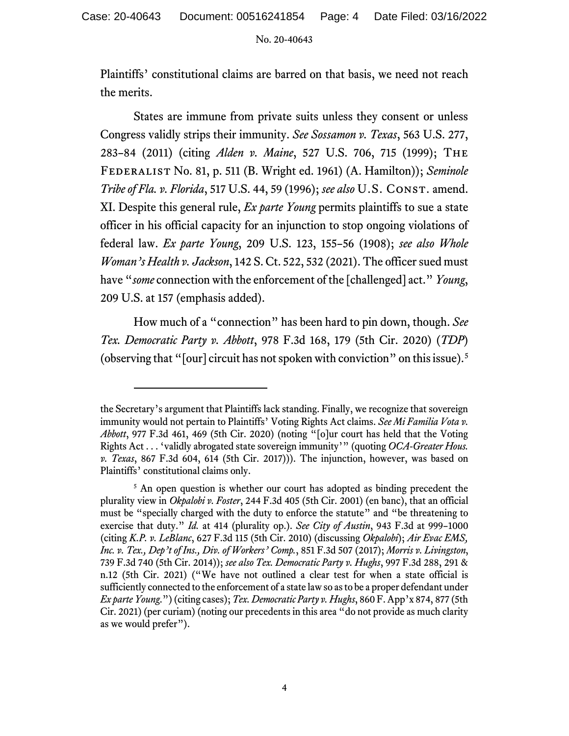Plaintiffs' constitutional claims are barred on that basis, we need not reach the merits.

States are immune from private suits unless they consent or unless Congress validly strips their immunity. *See Sossamon v. Texas*, 563 U.S. 277, 283–84 (2011) (citing *Alden v. Maine*, 527 U.S. 706, 715 (1999); The Federalist No. 81, p. 511 (B. Wright ed. 1961) (A. Hamilton)); *Seminole Tribe of Fla. v. Florida*, 517 U.S. 44, 59 (1996); *see also* U.S. Const. amend. XI. Despite this general rule, *Ex parte Young* permits plaintiffs to sue a state officer in his official capacity for an injunction to stop ongoing violations of federal law. *Ex parte Young*, 209 U.S. 123, 155–56 (1908); *see also Whole Woman's Health v. Jackson*, 142 S. Ct. 522, 532 (2021). The officer sued must have "*some* connection with the enforcement of the [challenged] act." *Young*, 209 U.S. at 157 (emphasis added).

How much of a "connection" has been hard to pin down, though. *See Tex. Democratic Party v. Abbott*, 978 F.3d 168, 179 (5th Cir. 2020) (*TDP*) (observing that "[our] circuit has not spoken with conviction" on this issue). [5](#page-3-0)

the Secretary's argument that Plaintiffs lack standing. Finally, we recognize that sovereign immunity would not pertain to Plaintiffs' Voting Rights Act claims. *See Mi Familia Vota v. Abbott*, 977 F.3d 461, 469 (5th Cir. 2020) (noting "[o]ur court has held that the Voting Rights Act . . . 'validly abrogated state sovereign immunity'" (quoting *OCA-Greater Hous. v. Texas*, 867 F.3d 604, 614 (5th Cir. 2017))). The injunction, however, was based on Plaintiffs' constitutional claims only.

<span id="page-3-0"></span><sup>&</sup>lt;sup>5</sup> An open question is whether our court has adopted as binding precedent the plurality view in *Okpalobi v. Foster*, 244 F.3d 405 (5th Cir. 2001) (en banc), that an official must be "specially charged with the duty to enforce the statute" and "be threatening to exercise that duty." *Id.* at 414 (plurality op.). *See City of Austin*, 943 F.3d at 999–1000 (citing *K.P. v. LeBlanc*, 627 F.3d 115 (5th Cir. 2010) (discussing *Okpalobi*); *Air Evac EMS, Inc. v. Tex., Dep't of Ins., Div. of Workers' Comp.*, 851 F.3d 507 (2017); *Morris v. Livingston*, 739 F.3d 740 (5th Cir. 2014)); *see also Tex. Democratic Party v. Hughs*, 997 F.3d 288, 291 & n.12 (5th Cir. 2021) ("We have not outlined a clear test for when a state official is sufficiently connected to the enforcement of a state law so as to be a proper defendant under *Ex parte Young*.") (citing cases); *Tex. Democratic Party v. Hughs*, 860 F. App'x 874, 877 (5th Cir. 2021) (per curiam) (noting our precedents in this area "do not provide as much clarity as we would prefer").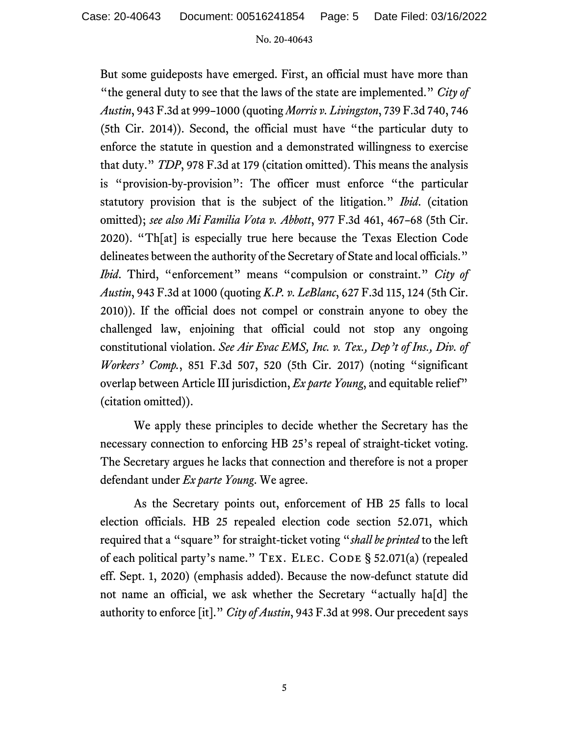But some guideposts have emerged. First, an official must have more than "the general duty to see that the laws of the state are implemented." *City of Austin*, 943 F.3d at 999–1000 (quoting *Morris v. Livingston*, 739 F.3d 740, 746 (5th Cir. 2014)). Second, the official must have "the particular duty to enforce the statute in question and a demonstrated willingness to exercise that duty." *TDP*, 978 F.3d at 179 (citation omitted). This means the analysis is "provision-by-provision": The officer must enforce "the particular statutory provision that is the subject of the litigation." *Ibid*. (citation omitted); *see also Mi Familia Vota v. Abbott*, 977 F.3d 461, 467–68 (5th Cir. 2020). "Th[at] is especially true here because the Texas Election Code delineates between the authority of the Secretary of State and local officials." *Ibid*. Third, "enforcement" means "compulsion or constraint." *City of Austin*, 943 F.3d at 1000 (quoting *K.P. v. LeBlanc*, 627 F.3d 115, 124 (5th Cir. 2010)). If the official does not compel or constrain anyone to obey the challenged law, enjoining that official could not stop any ongoing constitutional violation. *See Air Evac EMS, Inc. v. Tex., Dep't of Ins., Div. of Workers' Comp.*, 851 F.3d 507, 520 (5th Cir. 2017) (noting "significant overlap between Article III jurisdiction, *Ex parte Young*, and equitable relief" (citation omitted)).

We apply these principles to decide whether the Secretary has the necessary connection to enforcing HB 25's repeal of straight-ticket voting. The Secretary argues he lacks that connection and therefore is not a proper defendant under *Ex parte Young*. We agree.

As the Secretary points out, enforcement of HB 25 falls to local election officials. HB 25 repealed election code section 52.071, which required that a "square" for straight-ticket voting "*shall be printed* to the left of each political party's name." TEX. ELEC. CODE § 52.071(a) (repealed eff. Sept. 1, 2020) (emphasis added). Because the now-defunct statute did not name an official, we ask whether the Secretary "actually ha[d] the authority to enforce [it]." *City of Austin*, 943 F.3d at 998. Our precedent says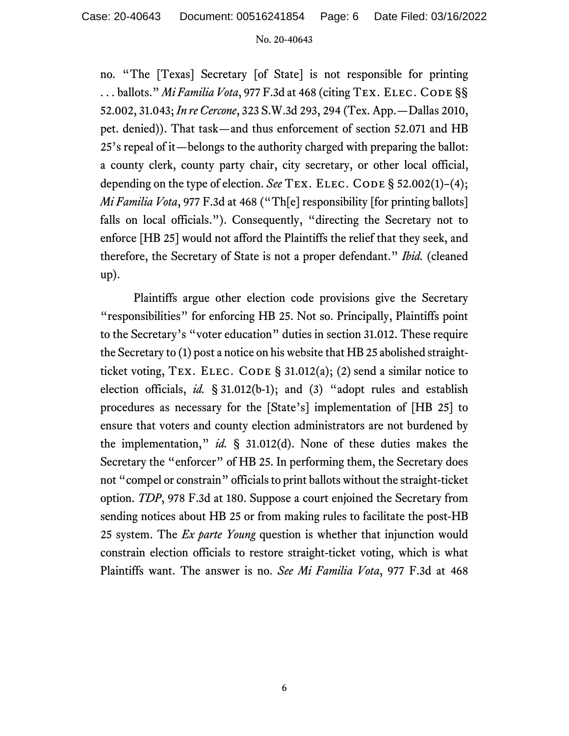no. "The [Texas] Secretary [of State] is not responsible for printing ... ballots." *Mi Familia Vota*, 977 F.3d at 468 (citing TEX. ELEC. CODE §§ 52.002, 31.043; *In re Cercone*, 323 S.W.3d 293, 294 (Tex. App.—Dallas 2010, pet. denied)). That task—and thus enforcement of section 52.071 and HB 25's repeal of it—belongs to the authority charged with preparing the ballot: a county clerk, county party chair, city secretary, or other local official, depending on the type of election. *See* TEX. ELEC. CODE § 52.002(1)–(4); *Mi Familia Vota*, 977 F.3d at 468 ("Th[e] responsibility [for printing ballots] falls on local officials."). Consequently, "directing the Secretary not to enforce [HB 25] would not afford the Plaintiffs the relief that they seek, and therefore, the Secretary of State is not a proper defendant." *Ibid.* (cleaned up).

Plaintiffs argue other election code provisions give the Secretary "responsibilities" for enforcing HB 25. Not so. Principally, Plaintiffs point to the Secretary's "voter education" duties in section 31.012. These require the Secretary to (1) post a notice on his website that HB 25 abolished straightticket voting, TEX. ELEC. CODE § 31.012(a); (2) send a similar notice to election officials, *id.* § 31.012(b-1); and (3) "adopt rules and establish procedures as necessary for the [State's] implementation of [HB 25] to ensure that voters and county election administrators are not burdened by the implementation," *id.* § 31.012(d). None of these duties makes the Secretary the "enforcer" of HB 25. In performing them, the Secretary does not "compel or constrain" officials to print ballots without the straight-ticket option. *TDP*, 978 F.3d at 180. Suppose a court enjoined the Secretary from sending notices about HB 25 or from making rules to facilitate the post-HB 25 system. The *Ex parte Young* question is whether that injunction would constrain election officials to restore straight-ticket voting, which is what Plaintiffs want. The answer is no. *See Mi Familia Vota*, 977 F.3d at 468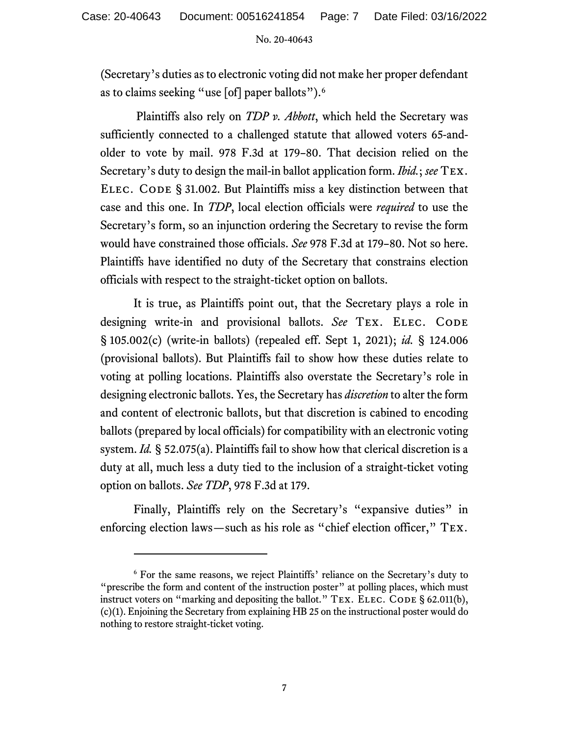(Secretary's duties as to electronic voting did not make her proper defendant as to claims seeking "use [of] paper ballots").<sup>[6](#page-6-0)</sup>

Plaintiffs also rely on *TDP v. Abbott*, which held the Secretary was sufficiently connected to a challenged statute that allowed voters 65-andolder to vote by mail. 978 F.3d at 179–80. That decision relied on the Secretary's duty to design the mail-in ballot application form. *Ibid.*; *see* Tex. ELEC. CODE § 31.002. But Plaintiffs miss a key distinction between that case and this one. In *TDP*, local election officials were *required* to use the Secretary's form, so an injunction ordering the Secretary to revise the form would have constrained those officials. *See* 978 F.3d at 179–80. Not so here. Plaintiffs have identified no duty of the Secretary that constrains election officials with respect to the straight-ticket option on ballots.

It is true, as Plaintiffs point out, that the Secretary plays a role in designing write-in and provisional ballots. See TEX. ELEC. CODE § 105.002(c) (write-in ballots) (repealed eff. Sept 1, 2021); *id.* § 124.006 (provisional ballots). But Plaintiffs fail to show how these duties relate to voting at polling locations. Plaintiffs also overstate the Secretary's role in designing electronic ballots. Yes, the Secretary has *discretion* to alter the form and content of electronic ballots, but that discretion is cabined to encoding ballots (prepared by local officials) for compatibility with an electronic voting system. *Id.* § 52.075(a). Plaintiffs fail to show how that clerical discretion is a duty at all, much less a duty tied to the inclusion of a straight-ticket voting option on ballots. *See TDP*, 978 F.3d at 179.

Finally, Plaintiffs rely on the Secretary's "expansive duties" in enforcing election laws—such as his role as "chief election officer," TEX.

<span id="page-6-0"></span><sup>6</sup> For the same reasons, we reject Plaintiffs' reliance on the Secretary's duty to "prescribe the form and content of the instruction poster" at polling places, which must instruct voters on "marking and depositing the ballot." TEX. ELEC. CODE § 62.011(b), (c)(1). Enjoining the Secretary from explaining HB 25 on the instructional poster would do nothing to restore straight-ticket voting.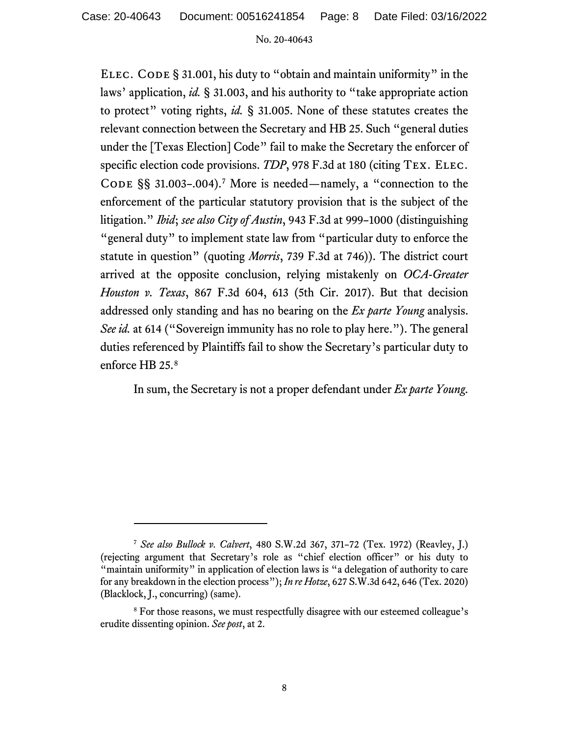Case: 20-40643 Document: 00516241854 Page: 8 Date Filed: 03/16/2022

#### No. 20-40643

ELEC. CODE § 31.001, his duty to "obtain and maintain uniformity" in the laws' application, *id.* § 31.003, and his authority to "take appropriate action to protect" voting rights, *id.* § 31.005. None of these statutes creates the relevant connection between the Secretary and HB 25. Such "general duties under the [Texas Election] Code" fail to make the Secretary the enforcer of specific election code provisions. *TDP*, 978 F.3d at 180 (citing TEX. ELEC. CODE  $\S$ § 31.003-.004).<sup>[7](#page-7-0)</sup> More is needed—namely, a "connection to the enforcement of the particular statutory provision that is the subject of the litigation." *Ibid*; *see also City of Austin*, 943 F.3d at 999–1000 (distinguishing "general duty" to implement state law from "particular duty to enforce the statute in question" (quoting *Morris*, 739 F.3d at 746)). The district court arrived at the opposite conclusion, relying mistakenly on *OCA-Greater Houston v. Texas*, 867 F.3d 604, 613 (5th Cir. 2017). But that decision addressed only standing and has no bearing on the *Ex parte Young* analysis. *See id.* at 614 ("Sovereign immunity has no role to play here."). The general duties referenced by Plaintiffs fail to show the Secretary's particular duty to enforce HB 25.[8](#page-7-1)

In sum, the Secretary is not a proper defendant under *Ex parte Young*.

<span id="page-7-0"></span><sup>7</sup> *See also Bullock v. Calvert*, 480 S.W.2d 367, 371–72 (Tex. 1972) (Reavley, J.) (rejecting argument that Secretary's role as "chief election officer" or his duty to "maintain uniformity" in application of election laws is "a delegation of authority to care for any breakdown in the election process"); *In re Hotze*, 627 S.W.3d 642, 646 (Tex. 2020) (Blacklock, J., concurring) (same).

<span id="page-7-1"></span><sup>8</sup> For those reasons, we must respectfully disagree with our esteemed colleague's erudite dissenting opinion. *See post*, at 2.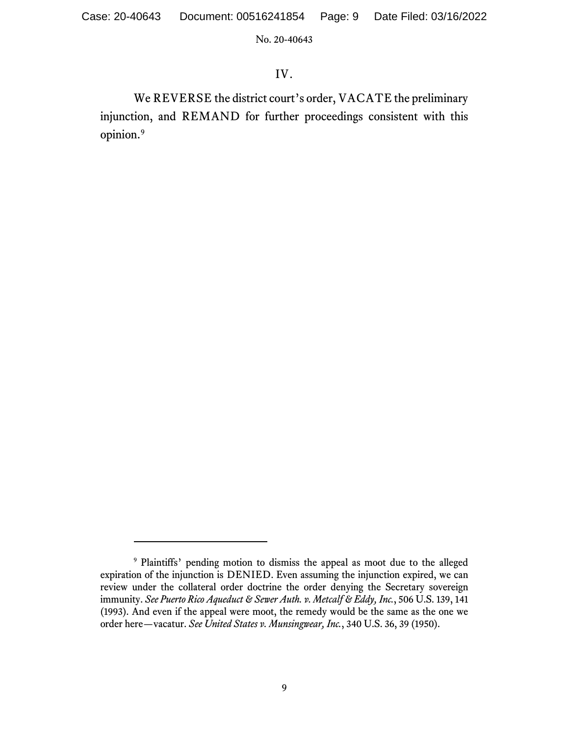# IV.

We REVERSE the district court's order, VACATE the preliminary injunction, and REMAND for further proceedings consistent with this opinion. [9](#page-8-0)

<span id="page-8-0"></span><sup>9</sup> Plaintiffs' pending motion to dismiss the appeal as moot due to the alleged expiration of the injunction is DENIED. Even assuming the injunction expired, we can review under the collateral order doctrine the order denying the Secretary sovereign immunity. *See Puerto Rico Aqueduct & Sewer Auth. v. Metcalf & Eddy, Inc.*, 506 U.S. 139, 141 (1993). And even if the appeal were moot, the remedy would be the same as the one we order here—vacatur. *See United States v. Munsingwear, Inc.*, 340 U.S. 36, 39 (1950).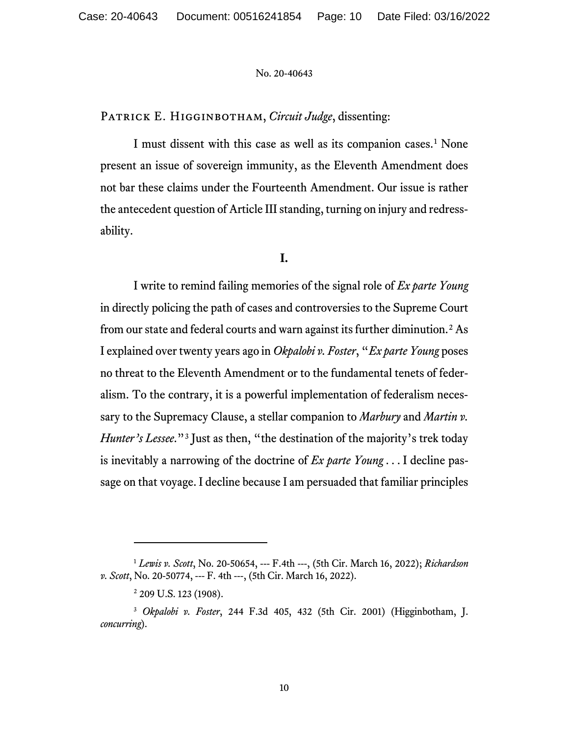PATRICK E. HIGGINBOTHAM, *Circuit Judge*, dissenting:

I must dissent with this case as well as its companion cases.<sup>[1](#page-9-0)</sup> None present an issue of sovereign immunity, as the Eleventh Amendment does not bar these claims under the Fourteenth Amendment. Our issue is rather the antecedent question of Article III standing, turning on injury and redressability.

**I.**

I write to remind failing memories of the signal role of *Ex parte Young* in directly policing the path of cases and controversies to the Supreme Court from our state and federal courts and warn against its further diminution.[2](#page-9-1) As I explained over twenty years ago in *Okpalobi v. Foster*, "*Ex parte Young* poses no threat to the Eleventh Amendment or to the fundamental tenets of federalism. To the contrary, it is a powerful implementation of federalism necessary to the Supremacy Clause, a stellar companion to *Marbury* and *Martin v. Hunter's Lessee*."<sup>[3](#page-9-2)</sup> Just as then, "the destination of the majority's trek today is inevitably a narrowing of the doctrine of *Ex parte Young* . . . I decline passage on that voyage. I decline because I am persuaded that familiar principles

<span id="page-9-0"></span><sup>1</sup> *Lewis v. Scott*, No. 20-50654, --- F.4th ---, (5th Cir. March 16, 2022); *Richardson v. Scott*, No. 20-50774, --- F. 4th ---, (5th Cir. March 16, 2022).

<sup>&</sup>lt;sup>2</sup> 209 U.S. 123 (1908).

<span id="page-9-2"></span><span id="page-9-1"></span><sup>3</sup> *Okpalobi v. Foster*, 244 F.3d 405, 432 (5th Cir. 2001) (Higginbotham, J. *concurring*).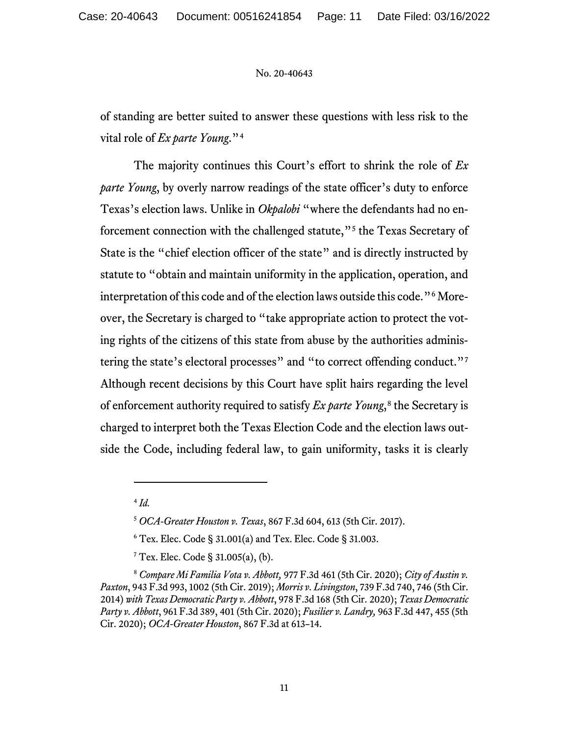of standing are better suited to answer these questions with less risk to the vital role of *Ex parte Young*."[4](#page-10-0)

The majority continues this Court's effort to shrink the role of *Ex parte Young*, by overly narrow readings of the state officer's duty to enforce Texas's election laws. Unlike in *Okpalobi* "where the defendants had no enforcement connection with the challenged statute,"[5](#page-10-1) the Texas Secretary of State is the "chief election officer of the state" and is directly instructed by statute to "obtain and maintain uniformity in the application, operation, and interpretation of this code and of the election laws outside this code."[6](#page-10-2) Moreover, the Secretary is charged to "take appropriate action to protect the voting rights of the citizens of this state from abuse by the authorities adminis-tering the state's electoral processes" and "to correct offending conduct."<sup>[7](#page-10-3)</sup> Although recent decisions by this Court have split hairs regarding the level of enforcement authority required to satisfy *Ex parte Young*<sup>[8](#page-10-4)</sup>, the Secretary is charged to interpret both the Texas Election Code and the election laws outside the Code, including federal law, to gain uniformity, tasks it is clearly

<sup>4</sup> *Id.*

<sup>5</sup> *OCA-Greater Houston v. Texas*, 867 F.3d 604, 613 (5th Cir. 2017).

<sup>6</sup> Tex. Elec. Code § 31.001(a) and Tex. Elec. Code § 31.003.

 $7$  Tex. Elec. Code § 31.005(a), (b).

<span id="page-10-4"></span><span id="page-10-3"></span><span id="page-10-2"></span><span id="page-10-1"></span><span id="page-10-0"></span><sup>8</sup> *Compare Mi Familia Vota v. Abbott,* 977 F.3d 461 (5th Cir. 2020); *City of Austin v. Paxton*, 943 F.3d 993, 1002 (5th Cir. 2019); *Morris v. Livingston*, 739 F.3d 740, 746 (5th Cir. 2014) *with Texas Democratic Party v. Abbott*, 978 F.3d 168 (5th Cir. 2020); *Texas Democratic Party v. Abbott*, 961 F.3d 389, 401 (5th Cir. 2020); *Fusilier v. Landry,* 963 F.3d 447, 455 (5th Cir. 2020); *OCA-Greater Houston*, 867 F.3d at 613–14.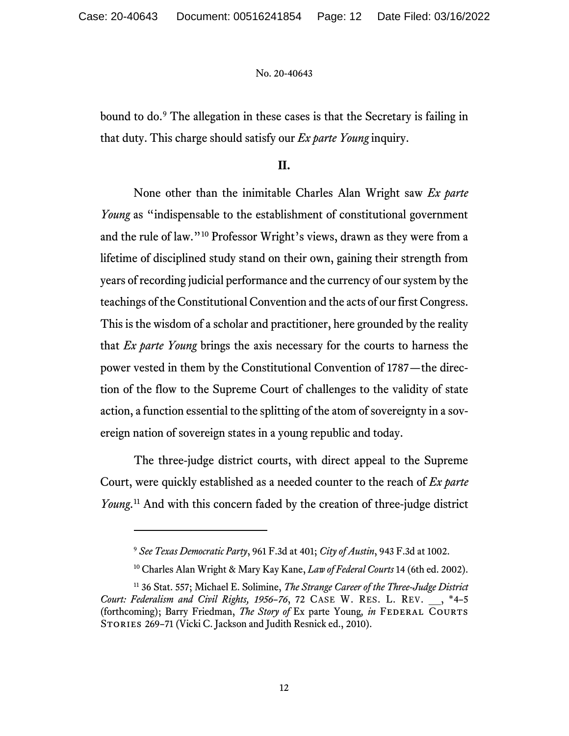bound to do.[9](#page-11-0) The allegation in these cases is that the Secretary is failing in that duty. This charge should satisfy our *Ex parte Young* inquiry.

# **II.**

None other than the inimitable Charles Alan Wright saw *Ex parte Young* as "indispensable to the establishment of constitutional government and the rule of law."[10](#page-11-1) Professor Wright's views, drawn as they were from a lifetime of disciplined study stand on their own, gaining their strength from years of recording judicial performance and the currency of our system by the teachings of the Constitutional Convention and the acts of our first Congress. This is the wisdom of a scholar and practitioner, here grounded by the reality that *Ex parte Young* brings the axis necessary for the courts to harness the power vested in them by the Constitutional Convention of 1787—the direction of the flow to the Supreme Court of challenges to the validity of state action, a function essential to the splitting of the atom of sovereignty in a sovereign nation of sovereign states in a young republic and today.

The three-judge district courts, with direct appeal to the Supreme Court, were quickly established as a needed counter to the reach of *Ex parte Young*. [11](#page-11-2) And with this concern faded by the creation of three-judge district

<sup>9</sup> *See Texas Democratic Party*, 961 F.3d at 401; *City of Austin*, 943 F.3d at 1002.

<sup>10</sup> Charles Alan Wright & Mary Kay Kane, *Law of Federal Courts* 14 (6th ed. 2002).

<span id="page-11-2"></span><span id="page-11-1"></span><span id="page-11-0"></span><sup>11</sup> 36 Stat. 557; Michael E. Solimine, *The Strange Career of the Three-Judge District Court: Federalism and Civil Rights, 1956–76*, 72 CASE W. RES. L. REV. \_\_, \*4–5 (forthcoming); Barry Friedman, *The Story of Ex parte Young, in FEDERAL COURTS* STORIES 269-71 (Vicki C. Jackson and Judith Resnick ed., 2010).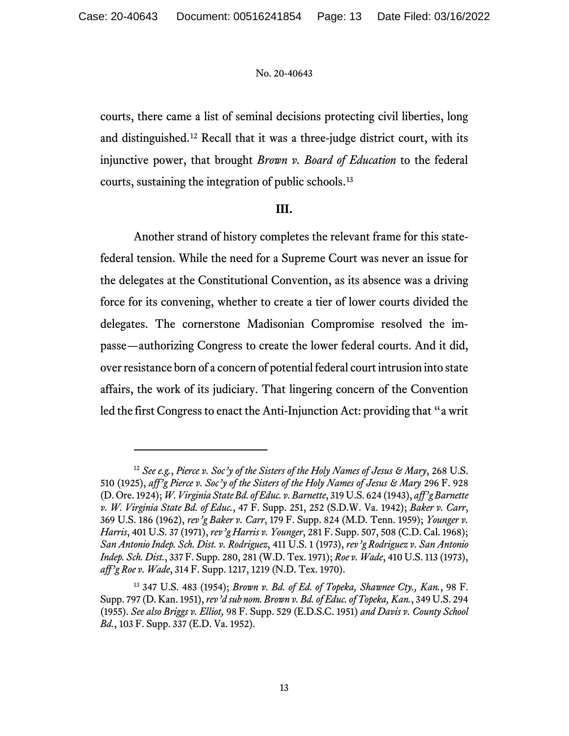courts, there came a list of seminal decisions protecting civil liberties, long and distinguished.[12](#page-12-0) Recall that it was a three-judge district court, with its injunctive power, that brought *Brown v. Board of Education* to the federal courts, sustaining the integration of public schools.[13](#page-12-1)

# **III.**

Another strand of history completes the relevant frame for this statefederal tension. While the need for a Supreme Court was never an issue for the delegates at the Constitutional Convention, as its absence was a driving force for its convening, whether to create a tier of lower courts divided the delegates. The cornerstone Madisonian Compromise resolved the impasse—authorizing Congress to create the lower federal courts. And it did, over resistance born of a concern of potential federal court intrusion into state affairs, the work of its judiciary. That lingering concern of the Convention led the first Congress to enact the Anti-Injunction Act: providing that "a writ

<span id="page-12-0"></span><sup>12</sup> *See e.g.*, *Pierce v. Soc'y of the Sisters of the Holy Names of Jesus & Mary*, 268 U.S. 510 (1925), *aff'g Pierce v. Soc'y of the Sisters of the Holy Names of Jesus & Mary* 296 F. 928 (D. Ore. 1924); *W. Virginia State Bd. of Educ. v. Barnette*, 319 U.S. 624 (1943), *aff'g Barnette v. W. Virginia State Bd. of Educ.*, 47 F. Supp. 251, 252 (S.D.W. Va. 1942); *Baker v. Carr*, 369 U.S. 186 (1962), *rev'g Baker v. Carr*, 179 F. Supp. 824 (M.D. Tenn. 1959); *Younger v. Harris*, 401 U.S. 37 (1971), *rev'g Harris v. Younger*, 281 F. Supp. 507, 508 (C.D. Cal. 1968); *San Antonio Indep. Sch. Dist. v. Rodriguez*, 411 U.S. 1 (1973), *rev'g Rodriguez v. San Antonio Indep. Sch. Dist.*, 337 F. Supp. 280, 281 (W.D. Tex. 1971); *Roe v. Wade*, 410 U.S. 113 (1973), *aff'g Roe v. Wade*, 314 F. Supp. 1217, 1219 (N.D. Tex. 1970).

<span id="page-12-1"></span><sup>13</sup> 347 U.S. 483 (1954); *Brown v. Bd. of Ed. of Topeka, Shawnee Cty., Kan.*, 98 F. Supp. 797 (D. Kan. 1951),*rev'd sub nom. Brown v. Bd. of Educ. of Topeka, Kan.*, 349 U.S. 294 (1955). *See also Briggs v. Elliot,* 98 F. Supp. 529 (E.D.S.C. 1951) *and Davis v. County School Bd.*, 103 F. Supp. 337 (E.D. Va. 1952).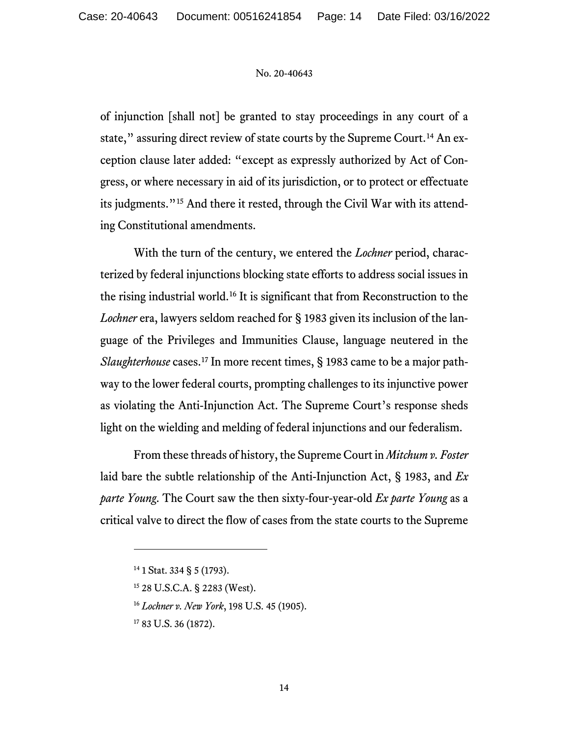of injunction [shall not] be granted to stay proceedings in any court of a state," assuring direct review of state courts by the Supreme Court.<sup>[14](#page-13-0)</sup> An exception clause later added: "except as expressly authorized by Act of Congress, or where necessary in aid of its jurisdiction, or to protect or effectuate its judgments."[15](#page-13-1) And there it rested, through the Civil War with its attending Constitutional amendments.

With the turn of the century, we entered the *Lochner* period, characterized by federal injunctions blocking state efforts to address social issues in the rising industrial world.[16](#page-13-2) It is significant that from Reconstruction to the *Lochner* era, lawyers seldom reached for § 1983 given its inclusion of the language of the Privileges and Immunities Clause, language neutered in the *Slaughterhouse* cases.<sup>[17](#page-13-3)</sup> In more recent times, § 1983 came to be a major pathway to the lower federal courts, prompting challenges to its injunctive power as violating the Anti-Injunction Act. The Supreme Court's response sheds light on the wielding and melding of federal injunctions and our federalism.

From these threads of history, the Supreme Court in *Mitchum v. Foster* laid bare the subtle relationship of the Anti-Injunction Act, § 1983, and *Ex parte Young*. The Court saw the then sixty-four-year-old *Ex parte Young* as a critical valve to direct the flow of cases from the state courts to the Supreme

<span id="page-13-0"></span> $14$  1 Stat. 334 § 5 (1793).

<span id="page-13-2"></span><span id="page-13-1"></span><sup>15</sup> 28 U.S.C.A. § 2283 (West).

<sup>16</sup> *Lochner v. New York*, 198 U.S. 45 (1905).

<span id="page-13-3"></span><sup>&</sup>lt;sup>17</sup> 83 U.S. 36 (1872).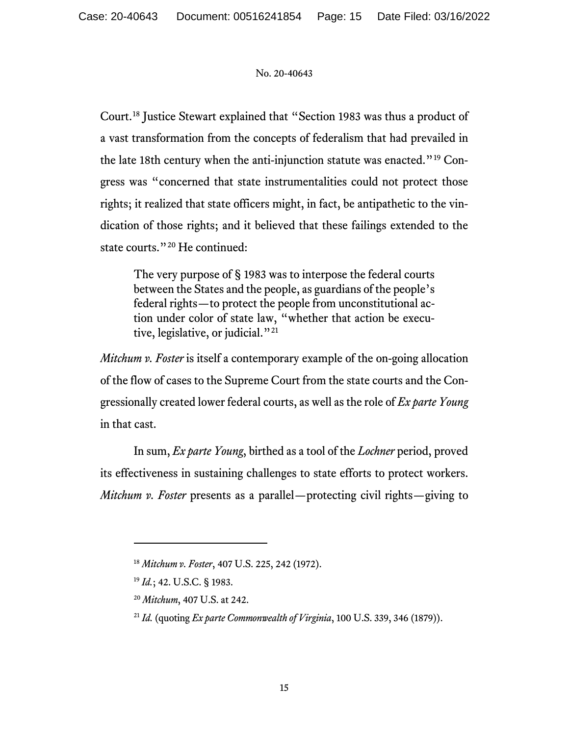Court.[18](#page-14-0) Justice Stewart explained that "Section 1983 was thus a product of a vast transformation from the concepts of federalism that had prevailed in the late 18th century when the anti-injunction statute was enacted."[19](#page-14-1) Congress was "concerned that state instrumentalities could not protect those rights; it realized that state officers might, in fact, be antipathetic to the vindication of those rights; and it believed that these failings extended to the state courts."<sup>[20](#page-14-2)</sup> He continued:

The very purpose of § 1983 was to interpose the federal courts between the States and the people, as guardians of the people's federal rights—to protect the people from unconstitutional action under color of state law, "whether that action be execu-tive, legislative, or judicial."<sup>[21](#page-14-3)</sup>

*Mitchum v. Foster* is itself a contemporary example of the on-going allocation of the flow of cases to the Supreme Court from the state courts and the Congressionally created lower federal courts, as well as the role of *Ex parte Young*  in that cast.

In sum, *Ex parte Young*, birthed as a tool of the *Lochner* period, proved its effectiveness in sustaining challenges to state efforts to protect workers. *Mitchum v. Foster* presents as a parallel—protecting civil rights—giving to

<span id="page-14-0"></span><sup>18</sup> *Mitchum v. Foster*, 407 U.S. 225, 242 (1972).

<span id="page-14-1"></span><sup>19</sup> *Id.*; 42. U.S.C. § 1983.

<span id="page-14-2"></span><sup>20</sup> *Mitchum*, 407 U.S. at 242.

<span id="page-14-3"></span><sup>21</sup> *Id.* (quoting *Ex parte Commonwealth of Virginia*, 100 U.S. 339, 346 (1879)).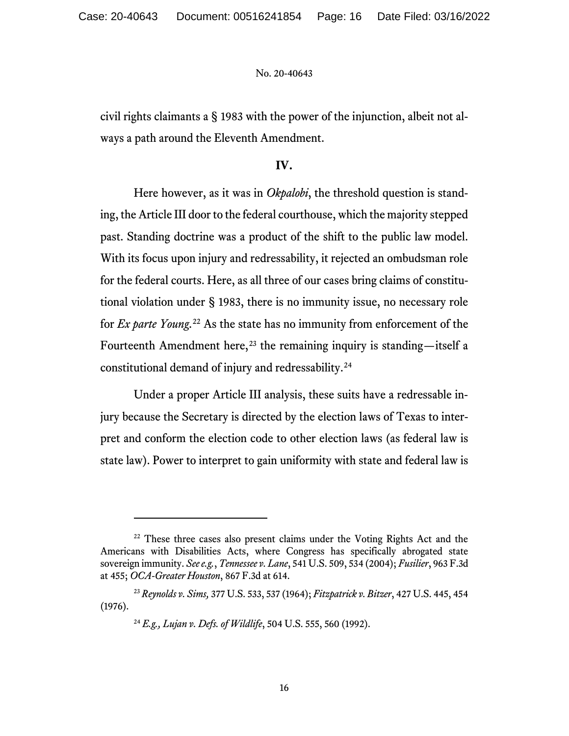civil rights claimants a § 1983 with the power of the injunction, albeit not always a path around the Eleventh Amendment.

## **IV.**

Here however, as it was in *Okpalobi*, the threshold question is standing, the Article III door to the federal courthouse, which the majority stepped past. Standing doctrine was a product of the shift to the public law model. With its focus upon injury and redressability, it rejected an ombudsman role for the federal courts. Here, as all three of our cases bring claims of constitutional violation under § 1983, there is no immunity issue, no necessary role for *Ex parte Young*. [22](#page-15-0) As the state has no immunity from enforcement of the Fourteenth Amendment here,<sup>[23](#page-15-1)</sup> the remaining inquiry is standing—itself a constitutional demand of injury and redressability.[24](#page-15-2)

Under a proper Article III analysis, these suits have a redressable injury because the Secretary is directed by the election laws of Texas to interpret and conform the election code to other election laws (as federal law is state law). Power to interpret to gain uniformity with state and federal law is

<span id="page-15-0"></span><sup>&</sup>lt;sup>22</sup> These three cases also present claims under the Voting Rights Act and the Americans with Disabilities Acts, where Congress has specifically abrogated state sovereign immunity. *See e.g.*, *Tennessee v. Lane*, 541 U.S. 509, 534 (2004); *Fusilier*, 963 F.3d at 455; *OCA-Greater Houston*, 867 F.3d at 614.

<span id="page-15-2"></span><span id="page-15-1"></span><sup>23</sup> *Reynolds v. Sims,* 377 U.S. 533, 537 (1964); *Fitzpatrick v. Bitzer*, 427 U.S. 445, 454 (1976).

<sup>24</sup> *E.g., Lujan v. Defs. of Wildlife*, 504 U.S. 555, 560 (1992).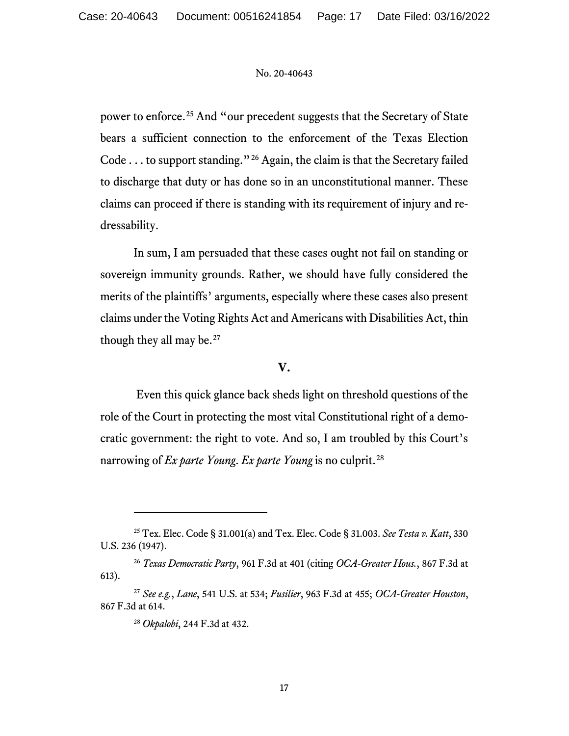power to enforce.[25](#page-16-0) And "our precedent suggests that the Secretary of State bears a sufficient connection to the enforcement of the Texas Election Code . . . to support standing."[26](#page-16-1) Again, the claim is that the Secretary failed to discharge that duty or has done so in an unconstitutional manner. These claims can proceed if there is standing with its requirement of injury and redressability.

In sum, I am persuaded that these cases ought not fail on standing or sovereign immunity grounds. Rather, we should have fully considered the merits of the plaintiffs' arguments, especially where these cases also present claims under the Voting Rights Act and Americans with Disabilities Act, thin though they all may be.<sup>[27](#page-16-2)</sup>

## **V.**

Even this quick glance back sheds light on threshold questions of the role of the Court in protecting the most vital Constitutional right of a democratic government: the right to vote. And so, I am troubled by this Court's narrowing of *Ex parte Young*. *Ex parte Young* is no culprit.[28](#page-16-3)

<span id="page-16-0"></span><sup>25</sup> Tex. Elec. Code § 31.001(a) and Tex. Elec. Code § 31.003. *See Testa v. Katt*, 330 U.S. 236 (1947).

<span id="page-16-1"></span><sup>26</sup> *Texas Democratic Party*, 961 F.3d at 401 (citing *OCA-Greater Hous.*, 867 F.3d at 613).

<span id="page-16-3"></span><span id="page-16-2"></span><sup>27</sup> *See e.g.*, *Lane*, 541 U.S. at 534; *Fusilier*, 963 F.3d at 455; *OCA-Greater Houston*, 867 F.3d at 614.

<sup>28</sup> *Okpalobi*, 244 F.3d at 432.